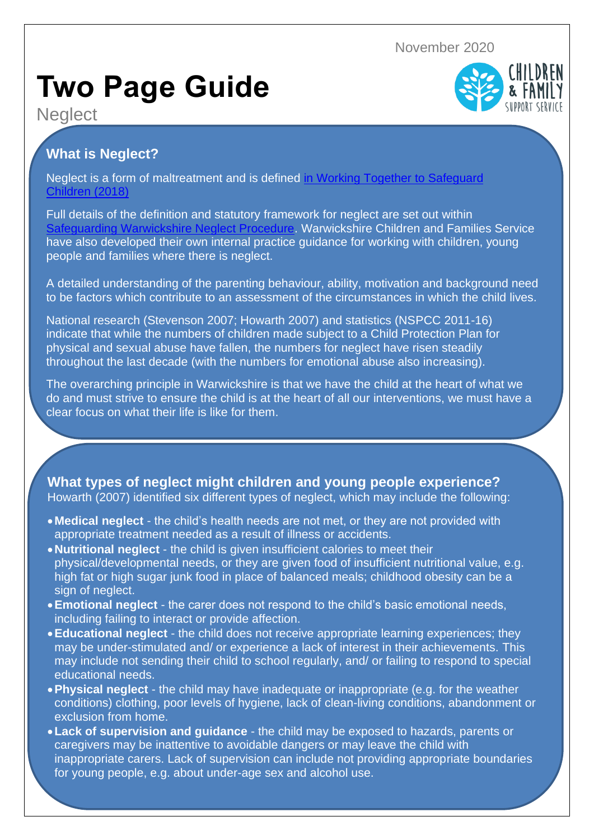November 2020

## **Two Page Guide**

**Neglect** 



Neglect is a form of maltreatment and is defined [in Working Together to Safeguard](https://www.gov.uk/government/publications/working-together-to-safeguard-children--2) [Children \(2018\)](https://www.gov.uk/government/publications/working-together-to-safeguard-children--2)

Full details of the definition and statutory framework for neglect are set out within [Safeguarding Warwickshire Neglect Procedure.](https://westmidlands.procedures.org.uk/pkphl/regional-safeguarding-guidance/neglect) Warwickshire Children and Families Service have also developed their own internal practice guidance for working with children, young people and families where there is neglect.

A detailed understanding of the parenting behaviour, ability, motivation and background need to be factors which contribute to an assessment of the circumstances in which the child lives.

National research (Stevenson 2007; Howarth 2007) and statistics (NSPCC 2011-16) indicate that while the numbers of children made subject to a Child Protection Plan for physical and sexual abuse have fallen, the numbers for neglect have risen steadily throughout the last decade (with the numbers for emotional abuse also increasing).

The overarching principle in Warwickshire is that we have the child at the heart of what we do and must strive to ensure the child is at the heart of all our interventions, we must have a clear focus on what their life is like for them.

## **What types of neglect might children and young people experience?**

Howarth (2007) identified six different types of neglect, which may include the following:

- •**Medical neglect** the child's health needs are not met, or they are not provided with appropriate treatment needed as a result of illness or accidents.
- •**Nutritional neglect** the child is given insufficient calories to meet their physical/developmental needs, or they are given food of insufficient nutritional value, e.g. high fat or high sugar junk food in place of balanced meals; childhood obesity can be a sign of neglect.
- •**Emotional neglect** the carer does not respond to the child's basic emotional needs, including failing to interact or provide affection.
- •**Educational neglect** the child does not receive appropriate learning experiences; they may be under-stimulated and/ or experience a lack of interest in their achievements. This may include not sending their child to school regularly, and/ or failing to respond to special educational needs.
- •**Physical neglect** the child may have inadequate or inappropriate (e.g. for the weather conditions) clothing, poor levels of hygiene, lack of clean-living conditions, abandonment or exclusion from home.
- •**Lack of supervision and guidance** the child may be exposed to hazards, parents or caregivers may be inattentive to avoidable dangers or may leave the child with inappropriate carers. Lack of supervision can include not providing appropriate boundaries for young people, e.g. about under-age sex and alcohol use.